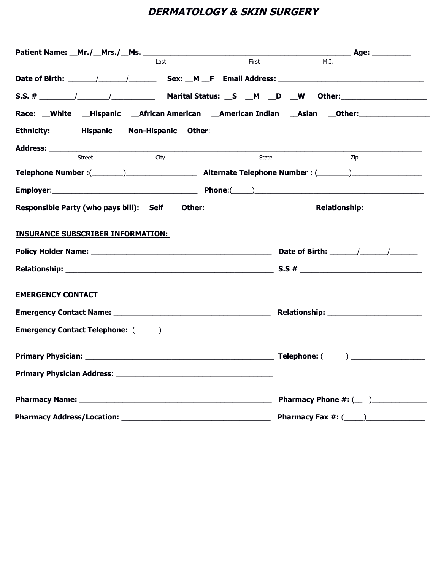# **DERMATOLOGY & SKIN SURGERY**

|                                                                    | l ast | First | M.I.                                            |
|--------------------------------------------------------------------|-------|-------|-------------------------------------------------|
|                                                                    |       |       |                                                 |
|                                                                    |       |       |                                                 |
| Race: White Hispanic African American American Indian Asian Other: |       |       |                                                 |
|                                                                    |       |       |                                                 |
|                                                                    |       |       |                                                 |
| Street                                                             | City  | State | Zip                                             |
|                                                                    |       |       |                                                 |
|                                                                    |       |       |                                                 |
|                                                                    |       |       |                                                 |
|                                                                    |       |       |                                                 |
| <b>INSURANCE SUBSCRIBER INFORMATION:</b>                           |       |       |                                                 |
|                                                                    |       |       |                                                 |
|                                                                    |       |       |                                                 |
| <b>EMERGENCY CONTACT</b>                                           |       |       |                                                 |
|                                                                    |       |       |                                                 |
|                                                                    |       |       |                                                 |
|                                                                    |       |       |                                                 |
|                                                                    |       |       |                                                 |
|                                                                    |       |       | Pharmacy Phone #: (___)                         |
|                                                                    |       |       | <b>Pharmacy Fax #: (</b> ____ ) _______________ |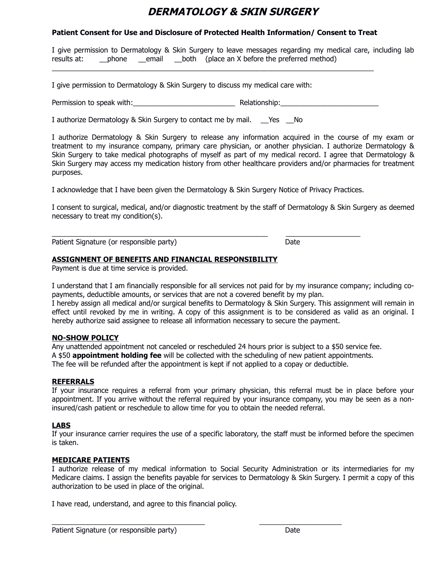## **DERMATOLOGY & SKIN SURGERY**

### **Patient Consent for Use and Disclosure of Protected Health Information/ Consent to Treat**

I give permission to Dermatology & Skin Surgery to leave messages regarding my medical care, including lab results at: \_\_\_\_phone \_\_\_email \_\_\_both (place an X before the preferred method)

I give permission to Dermatology & Skin Surgery to discuss my medical care with:

Permission to speak with: example and the speak with: the speak of the speak of the speak of the speak of the s

\_\_\_\_\_\_\_\_\_\_\_\_\_\_\_\_\_\_\_\_\_\_\_\_\_\_\_\_\_\_\_\_\_\_\_\_\_\_\_\_\_\_\_\_\_\_\_\_\_\_\_\_\_\_\_\_\_\_\_\_\_\_\_\_\_\_\_\_\_\_\_\_\_\_\_\_\_\_\_\_\_\_

I authorize Dermatology & Skin Surgery to contact me by mail. \_\_Yes No

I authorize Dermatology & Skin Surgery to release any information acquired in the course of my exam or treatment to my insurance company, primary care physician, or another physician. I authorize Dermatology & Skin Surgery to take medical photographs of myself as part of my medical record. I agree that Dermatology & Skin Surgery may access my medication history from other healthcare providers and/or pharmacies for treatment purposes.

I acknowledge that I have been given the Dermatology & Skin Surgery Notice of Privacy Practices.

\_\_\_\_\_\_\_\_\_\_\_\_\_\_\_\_\_\_\_\_\_\_\_\_\_\_\_\_\_\_\_\_\_\_\_\_\_\_\_\_\_\_\_\_\_\_\_\_\_\_\_\_\_\_\_ \_\_\_\_\_\_\_\_\_\_\_\_\_\_\_\_\_\_\_

I consent to surgical, medical, and/or diagnostic treatment by the staff of Dermatology & Skin Surgery as deemed necessary to treat my condition(s).

Patient Signature (or responsible party) Date

### **ASSIGNMENT OF BENEFITS AND FINANCIAL RESPONSIBILITY**

Payment is due at time service is provided.

I understand that I am financially responsible for all services not paid for by my insurance company; including copayments, deductible amounts, or services that are not a covered benefit by my plan.

I hereby assign all medical and/or surgical benefits to Dermatology & Skin Surgery. This assignment will remain in effect until revoked by me in writing. A copy of this assignment is to be considered as valid as an original. I hereby authorize said assignee to release all information necessary to secure the payment.

#### **NO-SHOW POLICY**

Any unattended appointment not canceled or rescheduled 24 hours prior is subject to a \$50 service fee. A \$50 **appointment holding fee** will be collected with the scheduling of new patient appointments. The fee will be refunded after the appointment is kept if not applied to a copay or deductible.

#### **REFERRALS**

If your insurance requires a referral from your primary physician, this referral must be in place before your appointment. If you arrive without the referral required by your insurance company, you may be seen as a noninsured/cash patient or reschedule to allow time for you to obtain the needed referral.

#### **LABS**

If your insurance carrier requires the use of a specific laboratory, the staff must be informed before the specimen is taken.

### **MEDICARE PATIENTS**

I authorize release of my medical information to Social Security Administration or its intermediaries for my Medicare claims. I assign the benefits payable for services to Dermatology & Skin Surgery. I permit a copy of this authorization to be used in place of the original.

 $\_$  , and the set of the set of the set of the set of the set of the set of the set of the set of the set of the set of the set of the set of the set of the set of the set of the set of the set of the set of the set of th

I have read, understand, and agree to this financial policy.